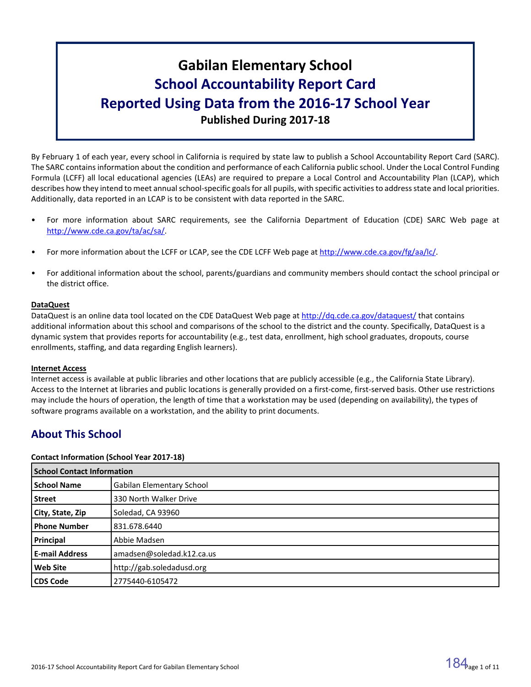# **Gabilan Elementary School School Accountability Report Card Reported Using Data from the 2016-17 School Year Published During 2017-18**

By February 1 of each year, every school in California is required by state law to publish a School Accountability Report Card (SARC). The SARC contains information about the condition and performance of each California public school. Under the Local Control Funding Formula (LCFF) all local educational agencies (LEAs) are required to prepare a Local Control and Accountability Plan (LCAP), which describes how they intend to meet annual school-specific goals for all pupils, with specific activities to address state and local priorities. Additionally, data reported in an LCAP is to be consistent with data reported in the SARC.

- For more information about SARC requirements, see the California Department of Education (CDE) SARC Web page at [http://www.cde.ca.gov/ta/ac/sa/.](http://www.cde.ca.gov/ta/ac/sa/)
- For more information about the LCFF or LCAP, see the CDE LCFF Web page at [http://www.cde.ca.gov/fg/aa/lc/.](http://www.cde.ca.gov/fg/aa/lc/)
- For additional information about the school, parents/guardians and community members should contact the school principal or the district office.

# **DataQuest**

DataQuest is an online data tool located on the CDE DataQuest Web page at <http://dq.cde.ca.gov/dataquest/> that contains additional information about this school and comparisons of the school to the district and the county. Specifically, DataQuest is a dynamic system that provides reports for accountability (e.g., test data, enrollment, high school graduates, dropouts, course enrollments, staffing, and data regarding English learners).

# **Internet Access**

Internet access is available at public libraries and other locations that are publicly accessible (e.g., the California State Library). Access to the Internet at libraries and public locations is generally provided on a first-come, first-served basis. Other use restrictions may include the hours of operation, the length of time that a workstation may be used (depending on availability), the types of software programs available on a workstation, and the ability to print documents.

# **About This School**

# **Contact Information (School Year 2017-18)**

| <b>School Contact Information</b> |                                  |  |  |  |
|-----------------------------------|----------------------------------|--|--|--|
| <b>School Name</b>                | <b>Gabilan Elementary School</b> |  |  |  |
| Street                            | 330 North Walker Drive           |  |  |  |
| City, State, Zip                  | Soledad, CA 93960                |  |  |  |
| <b>Phone Number</b>               | 831.678.6440                     |  |  |  |
| Principal                         | Abbie Madsen                     |  |  |  |
| <b>E-mail Address</b>             | amadsen@soledad.k12.ca.us        |  |  |  |
| <b>Web Site</b>                   | http://gab.soledadusd.org        |  |  |  |
| <b>CDS Code</b>                   | 2775440-6105472                  |  |  |  |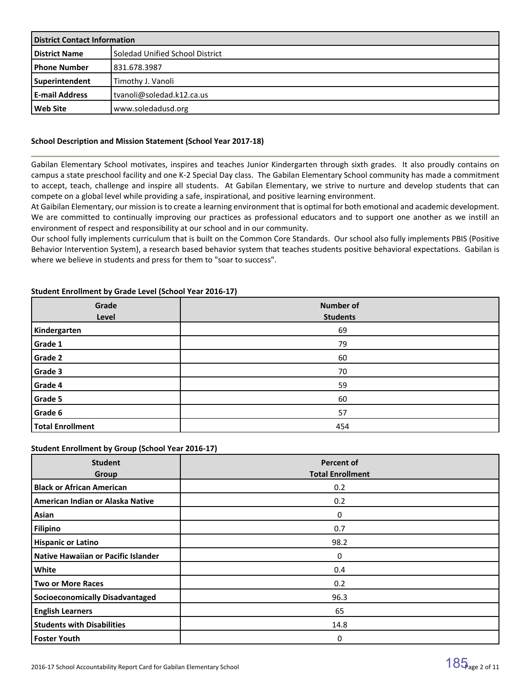| <b>District Contact Information</b> |                                   |  |  |
|-------------------------------------|-----------------------------------|--|--|
| <b>District Name</b>                | l Soledad Unified School District |  |  |
| l Phone Number                      | 831.678.3987                      |  |  |
| Superintendent                      | Timothy J. Vanoli                 |  |  |
| <b>E-mail Address</b>               | tvanoli@soledad.k12.ca.us         |  |  |
| l Web Site                          | www.soledadusd.org                |  |  |

# **School Description and Mission Statement (School Year 2017-18)**

Gabilan Elementary School motivates, inspires and teaches Junior Kindergarten through sixth grades. It also proudly contains on campus a state preschool facility and one K-2 Special Day class. The Gabilan Elementary School community has made a commitment to accept, teach, challenge and inspire all students. At Gabilan Elementary, we strive to nurture and develop students that can compete on a global level while providing a safe, inspirational, and positive learning environment.

At Gaibilan Elementary, our mission is to create a learning environment that is optimal for both emotional and academic development. We are committed to continually improving our practices as professional educators and to support one another as we instill an environment of respect and responsibility at our school and in our community.

Our school fully implements curriculum that is built on the Common Core Standards. Our school also fully implements PBIS (Positive Behavior Intervention System), a research based behavior system that teaches students positive behavioral expectations. Gabilan is where we believe in students and press for them to "soar to success".

| Grade<br>Level          | <b>Number of</b><br><b>Students</b> |  |  |  |  |
|-------------------------|-------------------------------------|--|--|--|--|
|                         |                                     |  |  |  |  |
| Kindergarten            | 69                                  |  |  |  |  |
| Grade 1                 | 79                                  |  |  |  |  |
| Grade 2                 | 60                                  |  |  |  |  |
| Grade 3                 | 70                                  |  |  |  |  |
| Grade 4                 | 59                                  |  |  |  |  |
| Grade 5                 | 60                                  |  |  |  |  |
| Grade 6                 | 57                                  |  |  |  |  |
| <b>Total Enrollment</b> | 454                                 |  |  |  |  |

#### **Student Enrollment by Grade Level (School Year 2016-17)**

# **Student Enrollment by Group (School Year 2016-17)**

| <b>Student</b><br>Group                    | <b>Percent of</b><br><b>Total Enrollment</b> |
|--------------------------------------------|----------------------------------------------|
| <b>Black or African American</b>           | 0.2                                          |
| American Indian or Alaska Native           | 0.2                                          |
| Asian                                      | 0                                            |
| <b>Filipino</b>                            | 0.7                                          |
| <b>Hispanic or Latino</b>                  | 98.2                                         |
| <b>Native Hawaiian or Pacific Islander</b> | 0                                            |
| White                                      | 0.4                                          |
| <b>Two or More Races</b>                   | 0.2                                          |
| <b>Socioeconomically Disadvantaged</b>     | 96.3                                         |
| <b>English Learners</b>                    | 65                                           |
| <b>Students with Disabilities</b>          | 14.8                                         |
| <b>Foster Youth</b>                        | 0                                            |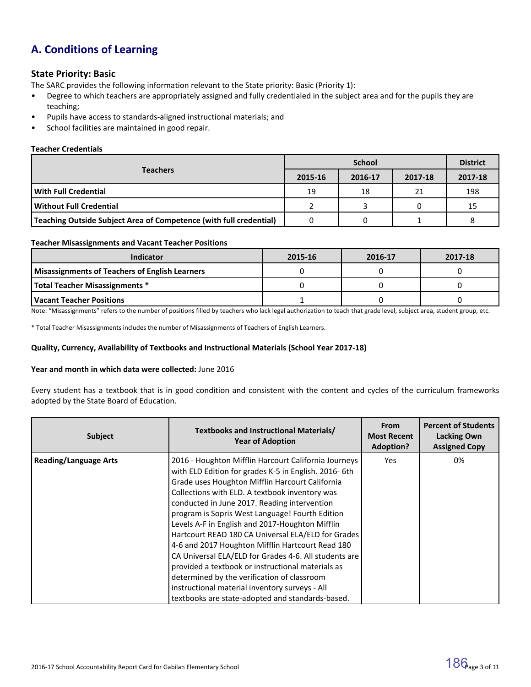# **A. Conditions of Learning**

# **State Priority: Basic**

The SARC provides the following information relevant to the State priority: Basic (Priority 1):

- Degree to which teachers are appropriately assigned and fully credentialed in the subject area and for the pupils they are teaching;
- Pupils have access to standards-aligned instructional materials; and
- School facilities are maintained in good repair.

#### **Teacher Credentials**

|                                                                    |         | <b>District</b> |         |         |
|--------------------------------------------------------------------|---------|-----------------|---------|---------|
| <b>Teachers</b>                                                    | 2015-16 | 2016-17         | 2017-18 | 2017-18 |
| With Full Credential                                               | 19      | 18              | 21      | 198     |
| Without Full Credential                                            |         |                 |         | 15      |
| Teaching Outside Subject Area of Competence (with full credential) |         |                 |         |         |

#### **Teacher Misassignments and Vacant Teacher Positions**

| <b>Indicator</b>                               | 2015-16 | 2016-17 | 2017-18 |
|------------------------------------------------|---------|---------|---------|
| Misassignments of Teachers of English Learners |         |         |         |
| Total Teacher Misassignments *                 |         |         |         |
| l Vacant Teacher Positions                     |         |         |         |

Note: "Misassignments" refers to the number of positions filled by teachers who lack legal authorization to teach that grade level, subject area, student group, etc.

\* Total Teacher Misassignments includes the number of Misassignments of Teachers of English Learners.

#### **Quality, Currency, Availability of Textbooks and Instructional Materials (School Year 2017-18)**

#### **Year and month in which data were collected:** June 2016

Every student has a textbook that is in good condition and consistent with the content and cycles of the curriculum frameworks adopted by the State Board of Education.

| <b>Subject</b>               | Textbooks and Instructional Materials/<br><b>Year of Adoption</b>                                                                                                                                                                                                                                                                                                                                                                                                                                                                                                                                                                                                                                                                                    | <b>From</b><br><b>Most Recent</b><br><b>Adoption?</b> | <b>Percent of Students</b><br><b>Lacking Own</b><br><b>Assigned Copy</b> |
|------------------------------|------------------------------------------------------------------------------------------------------------------------------------------------------------------------------------------------------------------------------------------------------------------------------------------------------------------------------------------------------------------------------------------------------------------------------------------------------------------------------------------------------------------------------------------------------------------------------------------------------------------------------------------------------------------------------------------------------------------------------------------------------|-------------------------------------------------------|--------------------------------------------------------------------------|
| <b>Reading/Language Arts</b> | 2016 - Houghton Mifflin Harcourt California Journeys<br>with ELD Edition for grades K-5 in English. 2016-6th<br>Grade uses Houghton Mifflin Harcourt California<br>Collections with ELD. A textbook inventory was<br>conducted in June 2017. Reading intervention<br>program is Sopris West Language! Fourth Edition<br>Levels A-F in English and 2017-Houghton Mifflin<br>Hartcourt READ 180 CA Universal ELA/ELD for Grades<br>4-6 and 2017 Houghton Mifflin Hartcourt Read 180<br>CA Universal ELA/ELD for Grades 4-6. All students are<br>provided a textbook or instructional materials as<br>determined by the verification of classroom<br>instructional material inventory surveys - All<br>textbooks are state-adopted and standards-based. | <b>Yes</b>                                            | 0%                                                                       |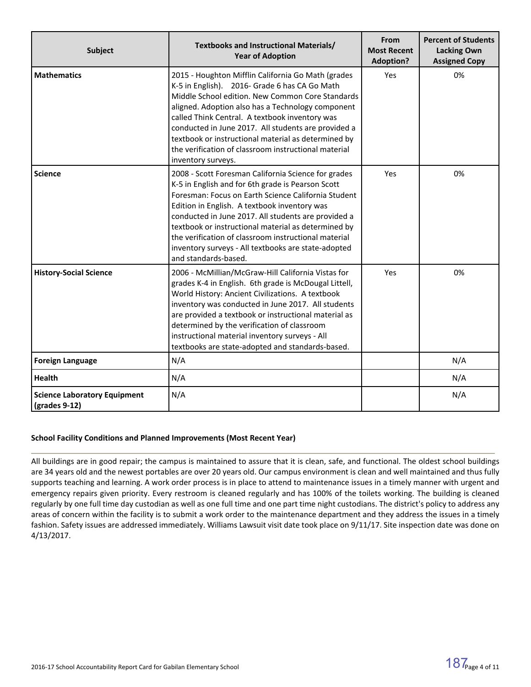| <b>Subject</b>                                       | Textbooks and Instructional Materials/<br><b>Year of Adoption</b>                                                                                                                                                                                                                                                                                                                                                                                                    | From<br><b>Most Recent</b><br><b>Adoption?</b> | <b>Percent of Students</b><br><b>Lacking Own</b><br><b>Assigned Copy</b> |  |
|------------------------------------------------------|----------------------------------------------------------------------------------------------------------------------------------------------------------------------------------------------------------------------------------------------------------------------------------------------------------------------------------------------------------------------------------------------------------------------------------------------------------------------|------------------------------------------------|--------------------------------------------------------------------------|--|
| <b>Mathematics</b>                                   | 2015 - Houghton Mifflin California Go Math (grades<br>K-5 in English). 2016- Grade 6 has CA Go Math<br>Middle School edition. New Common Core Standards<br>aligned. Adoption also has a Technology component<br>called Think Central. A textbook inventory was<br>conducted in June 2017. All students are provided a<br>textbook or instructional material as determined by<br>the verification of classroom instructional material<br>inventory surveys.           | Yes                                            | 0%                                                                       |  |
| <b>Science</b>                                       | 2008 - Scott Foresman California Science for grades<br>K-5 in English and for 6th grade is Pearson Scott<br>Foresman: Focus on Earth Science California Student<br>Edition in English. A textbook inventory was<br>conducted in June 2017. All students are provided a<br>textbook or instructional material as determined by<br>the verification of classroom instructional material<br>inventory surveys - All textbooks are state-adopted<br>and standards-based. | Yes                                            | 0%                                                                       |  |
| <b>History-Social Science</b>                        | 2006 - McMillian/McGraw-Hill California Vistas for<br>grades K-4 in English. 6th grade is McDougal Littell,<br>World History: Ancient Civilizations. A textbook<br>inventory was conducted in June 2017. All students<br>are provided a textbook or instructional material as<br>determined by the verification of classroom<br>instructional material inventory surveys - All<br>textbooks are state-adopted and standards-based.                                   | Yes                                            | 0%                                                                       |  |
| <b>Foreign Language</b>                              | N/A                                                                                                                                                                                                                                                                                                                                                                                                                                                                  |                                                | N/A                                                                      |  |
| <b>Health</b>                                        | N/A                                                                                                                                                                                                                                                                                                                                                                                                                                                                  |                                                | N/A                                                                      |  |
| <b>Science Laboratory Equipment</b><br>(grades 9-12) | N/A                                                                                                                                                                                                                                                                                                                                                                                                                                                                  |                                                | N/A                                                                      |  |

# **School Facility Conditions and Planned Improvements (Most Recent Year)**

All buildings are in good repair; the campus is maintained to assure that it is clean, safe, and functional. The oldest school buildings are 34 years old and the newest portables are over 20 years old. Our campus environment is clean and well maintained and thus fully supports teaching and learning. A work order process is in place to attend to maintenance issues in a timely manner with urgent and emergency repairs given priority. Every restroom is cleaned regularly and has 100% of the toilets working. The building is cleaned regularly by one full time day custodian as well as one full time and one part time night custodians. The district's policy to address any areas of concern within the facility is to submit a work order to the maintenance department and they address the issues in a timely fashion. Safety issues are addressed immediately. Williams Lawsuit visit date took place on 9/11/17. Site inspection date was done on 4/13/2017.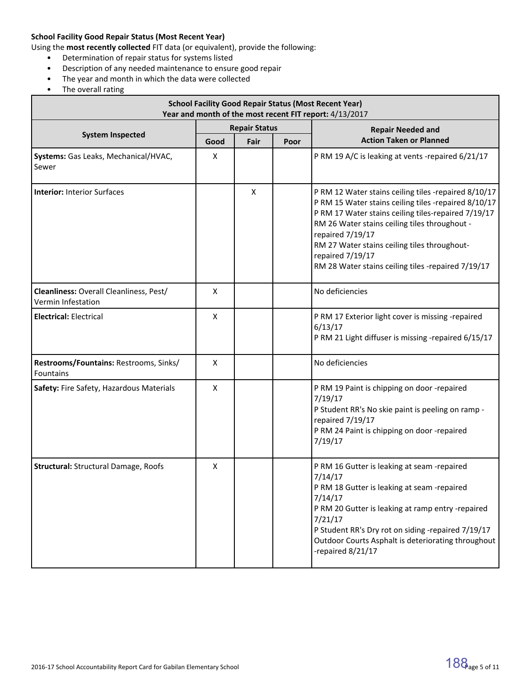# **School Facility Good Repair Status (Most Recent Year)**

Using the **most recently collected** FIT data (or equivalent), provide the following:

- Determination of repair status for systems listed
- Description of any needed maintenance to ensure good repair
- The year and month in which the data were collected
- The overall rating

| <b>School Facility Good Repair Status (Most Recent Year)</b><br>Year and month of the most recent FIT report: 4/13/2017 |                      |                      |  |                                                                                                                                                                                                                                                                                                                                                                    |  |  |  |
|-------------------------------------------------------------------------------------------------------------------------|----------------------|----------------------|--|--------------------------------------------------------------------------------------------------------------------------------------------------------------------------------------------------------------------------------------------------------------------------------------------------------------------------------------------------------------------|--|--|--|
|                                                                                                                         |                      | <b>Repair Status</b> |  | <b>Repair Needed and</b>                                                                                                                                                                                                                                                                                                                                           |  |  |  |
| <b>System Inspected</b>                                                                                                 | Fair<br>Good<br>Poor |                      |  | <b>Action Taken or Planned</b>                                                                                                                                                                                                                                                                                                                                     |  |  |  |
| Systems: Gas Leaks, Mechanical/HVAC,<br>Sewer                                                                           | X                    |                      |  | P RM 19 A/C is leaking at vents -repaired 6/21/17                                                                                                                                                                                                                                                                                                                  |  |  |  |
| <b>Interior: Interior Surfaces</b>                                                                                      |                      | X                    |  | P RM 12 Water stains ceiling tiles -repaired 8/10/17<br>P RM 15 Water stains ceiling tiles -repaired 8/10/17<br>P RM 17 Water stains ceiling tiles-repaired 7/19/17<br>RM 26 Water stains ceiling tiles throughout -<br>repaired 7/19/17<br>RM 27 Water stains ceiling tiles throughout-<br>repaired 7/19/17<br>RM 28 Water stains ceiling tiles -repaired 7/19/17 |  |  |  |
| Cleanliness: Overall Cleanliness, Pest/<br>Vermin Infestation                                                           | X                    |                      |  | No deficiencies                                                                                                                                                                                                                                                                                                                                                    |  |  |  |
| <b>Electrical: Electrical</b>                                                                                           | X                    |                      |  | P RM 17 Exterior light cover is missing -repaired<br>6/13/17<br>P RM 21 Light diffuser is missing -repaired 6/15/17                                                                                                                                                                                                                                                |  |  |  |
| Restrooms/Fountains: Restrooms, Sinks/<br>Fountains                                                                     | X                    |                      |  | No deficiencies                                                                                                                                                                                                                                                                                                                                                    |  |  |  |
| Safety: Fire Safety, Hazardous Materials                                                                                | X                    |                      |  | P RM 19 Paint is chipping on door -repaired<br>7/19/17<br>P Student RR's No skie paint is peeling on ramp -<br>repaired 7/19/17<br>P RM 24 Paint is chipping on door -repaired<br>7/19/17                                                                                                                                                                          |  |  |  |
| <b>Structural: Structural Damage, Roofs</b>                                                                             | X                    |                      |  | P RM 16 Gutter is leaking at seam -repaired<br>7/14/17<br>P RM 18 Gutter is leaking at seam -repaired<br>7/14/17<br>P RM 20 Gutter is leaking at ramp entry -repaired<br>7/21/17<br>P Student RR's Dry rot on siding -repaired 7/19/17<br>Outdoor Courts Asphalt is deteriorating throughout<br>-repaired 8/21/17                                                  |  |  |  |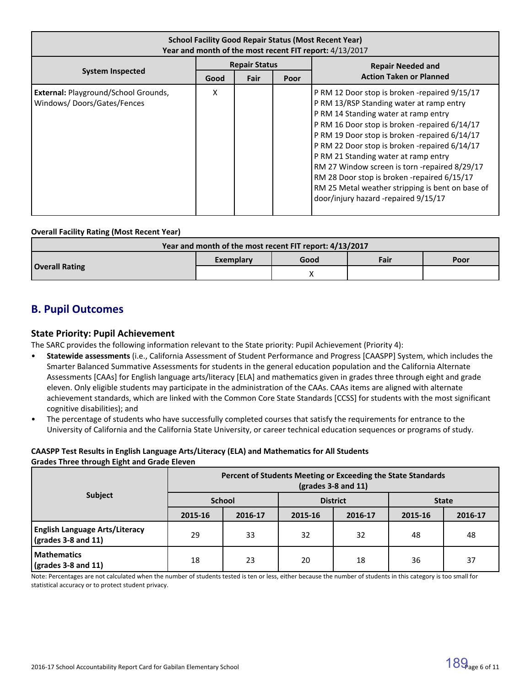| <b>School Facility Good Repair Status (Most Recent Year)</b><br>Year and month of the most recent FIT report: 4/13/2017 |                      |      |      |                                                                                                                                                                                                                                                                                                                                                                                                                                                                                                                         |  |  |
|-------------------------------------------------------------------------------------------------------------------------|----------------------|------|------|-------------------------------------------------------------------------------------------------------------------------------------------------------------------------------------------------------------------------------------------------------------------------------------------------------------------------------------------------------------------------------------------------------------------------------------------------------------------------------------------------------------------------|--|--|
|                                                                                                                         | <b>Repair Status</b> |      |      | <b>Repair Needed and</b>                                                                                                                                                                                                                                                                                                                                                                                                                                                                                                |  |  |
| <b>System Inspected</b>                                                                                                 | Good                 | Fair | Poor | <b>Action Taken or Planned</b>                                                                                                                                                                                                                                                                                                                                                                                                                                                                                          |  |  |
| External: Playground/School Grounds,<br>Windows/Doors/Gates/Fences                                                      | X                    |      |      | P RM 12 Door stop is broken -repaired 9/15/17<br>P RM 13/RSP Standing water at ramp entry<br>P RM 14 Standing water at ramp entry<br>P RM 16 Door stop is broken -repaired 6/14/17<br>PRM 19 Door stop is broken -repaired 6/14/17<br>P RM 22 Door stop is broken -repaired 6/14/17<br>P RM 21 Standing water at ramp entry<br>RM 27 Window screen is torn -repaired 8/29/17<br>RM 28 Door stop is broken -repaired 6/15/17<br>RM 25 Metal weather stripping is bent on base of<br>door/injury hazard -repaired 9/15/17 |  |  |

#### **Overall Facility Rating (Most Recent Year)**

| Year and month of the most recent FIT report: 4/13/2017 |           |      |      |      |  |  |  |
|---------------------------------------------------------|-----------|------|------|------|--|--|--|
|                                                         | Exemplary | Good | Fair | Poor |  |  |  |
| <b>Overall Rating</b>                                   |           |      |      |      |  |  |  |

# **B. Pupil Outcomes**

# **State Priority: Pupil Achievement**

The SARC provides the following information relevant to the State priority: Pupil Achievement (Priority 4):

- **Statewide assessments** (i.e., California Assessment of Student Performance and Progress [CAASPP] System, which includes the Smarter Balanced Summative Assessments for students in the general education population and the California Alternate Assessments [CAAs] for English language arts/literacy [ELA] and mathematics given in grades three through eight and grade eleven. Only eligible students may participate in the administration of the CAAs. CAAs items are aligned with alternate achievement standards, which are linked with the Common Core State Standards [CCSS] for students with the most significant cognitive disabilities); and
- The percentage of students who have successfully completed courses that satisfy the requirements for entrance to the University of California and the California State University, or career technical education sequences or programs of study.

#### **CAASPP Test Results in English Language Arts/Literacy (ELA) and Mathematics for All Students Grades Three through Eight and Grade Eleven**

|                                                                            | Percent of Students Meeting or Exceeding the State Standards<br>$\left(\text{grades }3 - 8 \text{ and } 11\right)$ |               |         |                 |              |         |  |
|----------------------------------------------------------------------------|--------------------------------------------------------------------------------------------------------------------|---------------|---------|-----------------|--------------|---------|--|
| <b>Subject</b>                                                             |                                                                                                                    | <b>School</b> |         | <b>District</b> | <b>State</b> |         |  |
|                                                                            | 2015-16                                                                                                            | 2016-17       | 2015-16 | 2016-17         | 2015-16      | 2016-17 |  |
| <b>English Language Arts/Literacy</b><br>$\frac{1}{2}$ (grades 3-8 and 11) | 29                                                                                                                 | 33            | 32      | 32              | 48           | 48      |  |
| <b>Mathematics</b><br>$\frac{1}{2}$ (grades 3-8 and 11)                    | 18                                                                                                                 | 23            | 20      | 18              | 36           | 37      |  |

Note: Percentages are not calculated when the number of students tested is ten or less, either because the number of students in this category is too small for statistical accuracy or to protect student privacy.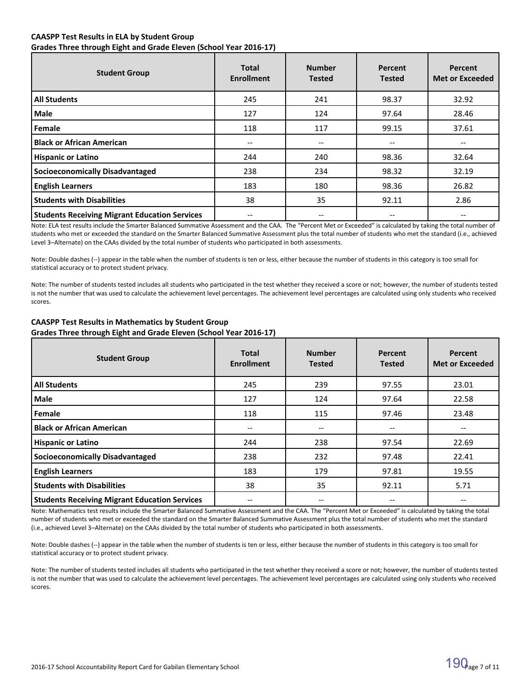#### **CAASPP Test Results in ELA by Student Group Grades Three through Eight and Grade Eleven (School Year 2016-17)**

| <b>Student Group</b>                                 | Total<br><b>Enrollment</b> | <b>Number</b><br><b>Tested</b> | Percent<br><b>Tested</b> | Percent<br><b>Met or Exceeded</b> |
|------------------------------------------------------|----------------------------|--------------------------------|--------------------------|-----------------------------------|
| All Students                                         | 245                        | 241                            | 98.37                    | 32.92                             |
| <b>Male</b>                                          | 127                        | 124                            | 97.64                    | 28.46                             |
| l Female                                             | 118                        | 117                            | 99.15                    | 37.61                             |
| Black or African American                            | $- -$                      | $\hspace{0.05cm} \ldots$       | --                       |                                   |
| <b>Hispanic or Latino</b>                            | 244                        | 240                            | 98.36                    | 32.64                             |
| <b>Socioeconomically Disadvantaged</b>               | 238                        | 234                            | 98.32                    | 32.19                             |
| <b>English Learners</b>                              | 183                        | 180                            | 98.36                    | 26.82                             |
| <b>Students with Disabilities</b>                    | 38                         | 35                             | 92.11                    | 2.86                              |
| <b>Students Receiving Migrant Education Services</b> |                            | $- -$                          |                          |                                   |

Note: ELA test results include the Smarter Balanced Summative Assessment and the CAA. The "Percent Met or Exceeded" is calculated by taking the total number of students who met or exceeded the standard on the Smarter Balanced Summative Assessment plus the total number of students who met the standard (i.e., achieved Level 3–Alternate) on the CAAs divided by the total number of students who participated in both assessments.

Note: Double dashes (--) appear in the table when the number of students is ten or less, either because the number of students in this category is too small for statistical accuracy or to protect student privacy.

Note: The number of students tested includes all students who participated in the test whether they received a score or not; however, the number of students tested is not the number that was used to calculate the achievement level percentages. The achievement level percentages are calculated using only students who received scores.

| <b>Student Group</b>                                 | Total<br><b>Enrollment</b> | <b>Number</b><br><b>Tested</b>        | Percent<br><b>Tested</b> | Percent<br><b>Met or Exceeded</b> |
|------------------------------------------------------|----------------------------|---------------------------------------|--------------------------|-----------------------------------|
| <b>All Students</b>                                  | 245                        | 239                                   | 97.55                    | 23.01                             |
| Male                                                 | 127                        | 124                                   | 97.64                    | 22.58                             |
| l Female                                             | 118                        | 115                                   | 97.46                    | 23.48                             |
| l Black or African American                          | --                         | $\hspace{0.05cm}$ – $\hspace{0.05cm}$ | --                       |                                   |
| <b>Hispanic or Latino</b>                            | 244                        | 238                                   | 97.54                    | 22.69                             |
| <b>Socioeconomically Disadvantaged</b>               | 238                        | 232                                   | 97.48                    | 22.41                             |
| <b>English Learners</b>                              | 183                        | 179                                   | 97.81                    | 19.55                             |
| <b>Students with Disabilities</b>                    | 38                         | 35                                    | 92.11                    | 5.71                              |
| <b>Students Receiving Migrant Education Services</b> | --                         | $\qquad \qquad -$                     | --                       |                                   |

# **CAASPP Test Results in Mathematics by Student Group Grades Three through Eight and Grade Eleven (School Year 2016-17)**

Note: Mathematics test results include the Smarter Balanced Summative Assessment and the CAA. The "Percent Met or Exceeded" is calculated by taking the total number of students who met or exceeded the standard on the Smarter Balanced Summative Assessment plus the total number of students who met the standard (i.e., achieved Level 3–Alternate) on the CAAs divided by the total number of students who participated in both assessments.

Note: Double dashes (--) appear in the table when the number of students is ten or less, either because the number of students in this category is too small for statistical accuracy or to protect student privacy.

Note: The number of students tested includes all students who participated in the test whether they received a score or not; however, the number of students tested is not the number that was used to calculate the achievement level percentages. The achievement level percentages are calculated using only students who received scores.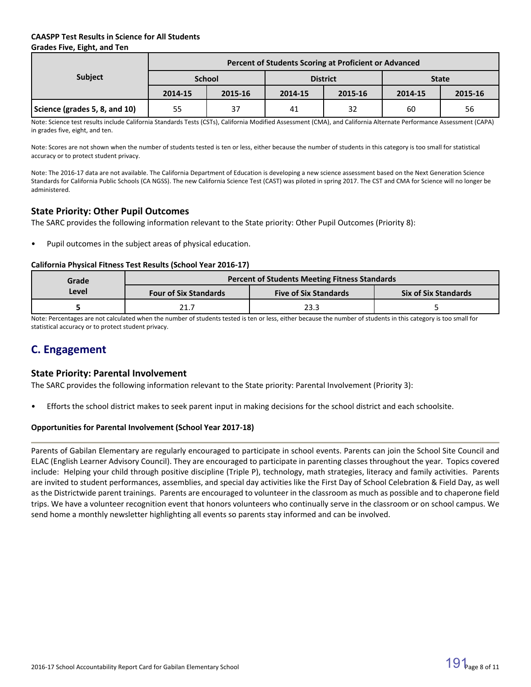# **CAASPP Test Results in Science for All Students Grades Five, Eight, and Ten**

|                               | Percent of Students Scoring at Proficient or Advanced |               |         |                 |              |         |  |  |  |
|-------------------------------|-------------------------------------------------------|---------------|---------|-----------------|--------------|---------|--|--|--|
| <b>Subject</b>                |                                                       | <b>School</b> |         | <b>District</b> | <b>State</b> |         |  |  |  |
|                               | 2014-15                                               | 2015-16       | 2014-15 | 2015-16         | 2014-15      | 2015-16 |  |  |  |
| Science (grades 5, 8, and 10) | 55                                                    | 37            | 41      | 32              | 60           | 56      |  |  |  |

Note: Science test results include California Standards Tests (CSTs), California Modified Assessment (CMA), and California Alternate Performance Assessment (CAPA) in grades five, eight, and ten.

Note: Scores are not shown when the number of students tested is ten or less, either because the number of students in this category is too small for statistical accuracy or to protect student privacy.

Note: The 2016-17 data are not available. The California Department of Education is developing a new science assessment based on the Next Generation Science Standards for California Public Schools (CA NGSS). The new California Science Test (CAST) was piloted in spring 2017. The CST and CMA for Science will no longer be administered.

# **State Priority: Other Pupil Outcomes**

The SARC provides the following information relevant to the State priority: Other Pupil Outcomes (Priority 8):

Pupil outcomes in the subject areas of physical education.

#### **California Physical Fitness Test Results (School Year 2016-17)**

| Grade | <b>Percent of Students Meeting Fitness Standards</b> |                              |                             |  |  |  |  |
|-------|------------------------------------------------------|------------------------------|-----------------------------|--|--|--|--|
| Level | <b>Four of Six Standards</b>                         | <b>Five of Six Standards</b> | <b>Six of Six Standards</b> |  |  |  |  |
|       | 21.7                                                 | 23.3                         |                             |  |  |  |  |

Note: Percentages are not calculated when the number of students tested is ten or less, either because the number of students in this category is too small for statistical accuracy or to protect student privacy.

# **C. Engagement**

# **State Priority: Parental Involvement**

The SARC provides the following information relevant to the State priority: Parental Involvement (Priority 3):

• Efforts the school district makes to seek parent input in making decisions for the school district and each schoolsite.

# **Opportunities for Parental Involvement (School Year 2017-18)**

Parents of Gabilan Elementary are regularly encouraged to participate in school events. Parents can join the School Site Council and ELAC (English Learner Advisory Council). They are encouraged to participate in parenting classes throughout the year. Topics covered include: Helping your child through positive discipline (Triple P), technology, math strategies, literacy and family activities. Parents are invited to student performances, assemblies, and special day activities like the First Day of School Celebration & Field Day, as well as the Districtwide parent trainings. Parents are encouraged to volunteer in the classroom as much as possible and to chaperone field trips. We have a volunteer recognition event that honors volunteers who continually serve in the classroom or on school campus. We send home a monthly newsletter highlighting all events so parents stay informed and can be involved.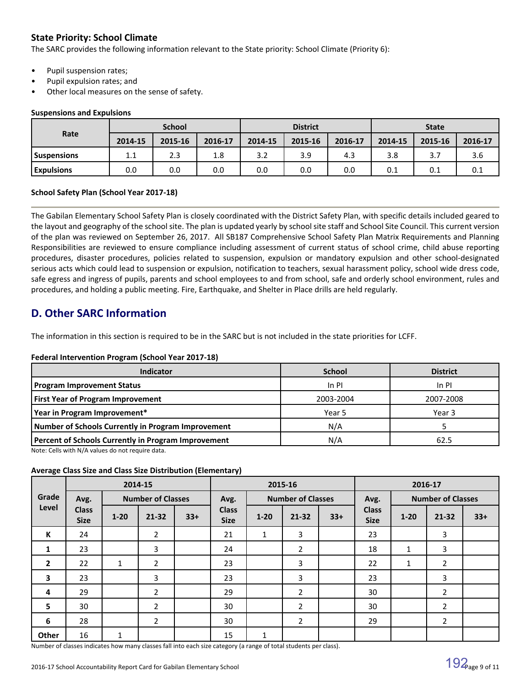# **State Priority: School Climate**

The SARC provides the following information relevant to the State priority: School Climate (Priority 6):

- Pupil suspension rates;
- Pupil expulsion rates; and
- Other local measures on the sense of safety.

#### **Suspensions and Expulsions**

|                    | <b>School</b> |         |         | <b>District</b> |         |         | <b>State</b> |         |         |
|--------------------|---------------|---------|---------|-----------------|---------|---------|--------------|---------|---------|
| Rate               | 2014-15       | 2015-16 | 2016-17 | 2014-15         | 2015-16 | 2016-17 | 2014-15      | 2015-16 | 2016-17 |
| <b>Suspensions</b> | 11<br>ᆠᆞᆠ     | 2.3     | 1.8     | 3.2             | 3.9     | 4.3     | 3.8          |         | 3.6     |
| <b>Expulsions</b>  | 0.0           | 0.0     | 0.0     | 0.0             | 0.0     | 0.0     | 0.1          | 0.1     | 0.1     |

# **School Safety Plan (School Year 2017-18)**

The Gabilan Elementary School Safety Plan is closely coordinated with the District Safety Plan, with specific details included geared to the layout and geography of the school site. The plan is updated yearly by school site staff and School Site Council. This current version of the plan was reviewed on September 26, 2017. All SB187 Comprehensive School Safety Plan Matrix Requirements and Planning Responsibilities are reviewed to ensure compliance including assessment of current status of school crime, child abuse reporting procedures, disaster procedures, policies related to suspension, expulsion or mandatory expulsion and other school-designated serious acts which could lead to suspension or expulsion, notification to teachers, sexual harassment policy, school wide dress code, safe egress and ingress of pupils, parents and school employees to and from school, safe and orderly school environment, rules and procedures, and holding a public meeting. Fire, Earthquake, and Shelter in Place drills are held regularly.

# **D. Other SARC Information**

The information in this section is required to be in the SARC but is not included in the state priorities for LCFF.

# **Federal Intervention Program (School Year 2017-18)**

| Indicator                                           | <b>School</b> | <b>District</b> |
|-----------------------------------------------------|---------------|-----------------|
| <b>Program Improvement Status</b>                   | In PI         | In PI           |
| <b>First Year of Program Improvement</b>            | 2003-2004     | 2007-2008       |
| Year in Program Improvement*                        | Year 5        | Year 3          |
| Number of Schools Currently in Program Improvement  | N/A           |                 |
| Percent of Schools Currently in Program Improvement | N/A           | 62.5            |

Note: Cells with N/A values do not require data.

# **Average Class Size and Class Size Distribution (Elementary)**

|                         |                             |              | 2014-15                  |       |                             | 2015-16  |                          |       | 2016-17                     |          |                          |       |
|-------------------------|-----------------------------|--------------|--------------------------|-------|-----------------------------|----------|--------------------------|-------|-----------------------------|----------|--------------------------|-------|
| Grade                   | Avg.                        |              | <b>Number of Classes</b> |       | Avg.                        |          | <b>Number of Classes</b> |       | Avg.                        |          | <b>Number of Classes</b> |       |
| Level                   | <b>Class</b><br><b>Size</b> | $1 - 20$     | $21 - 32$                | $33+$ | <b>Class</b><br><b>Size</b> | $1 - 20$ | $21 - 32$                | $33+$ | <b>Class</b><br><b>Size</b> | $1 - 20$ | 21-32                    | $33+$ |
| K                       | 24                          |              | $\overline{2}$           |       | 21                          | 1        | 3                        |       | 23                          |          | 3                        |       |
| 1                       | 23                          |              | 3                        |       | 24                          |          | $\overline{2}$           |       | 18                          | 1        | 3                        |       |
| $\overline{2}$          | 22                          | $\mathbf{1}$ | $\overline{2}$           |       | 23                          |          | 3                        |       | 22                          | 1        | $\overline{2}$           |       |
| $\overline{\mathbf{3}}$ | 23                          |              | 3                        |       | 23                          |          | 3                        |       | 23                          |          | 3                        |       |
| 4                       | 29                          |              | 2                        |       | 29                          |          | $\overline{2}$           |       | 30                          |          | $\overline{2}$           |       |
| 5                       | 30                          |              | $\overline{2}$           |       | 30                          |          | $\overline{2}$           |       | 30                          |          | $\overline{2}$           |       |
| 6                       | 28                          |              | $\overline{2}$           |       | 30                          |          | $\overline{2}$           |       | 29                          |          | $\overline{2}$           |       |
| Other                   | 16                          | 1            |                          |       | 15                          | 1        |                          |       |                             |          |                          |       |

Number of classes indicates how many classes fall into each size category (a range of total students per class).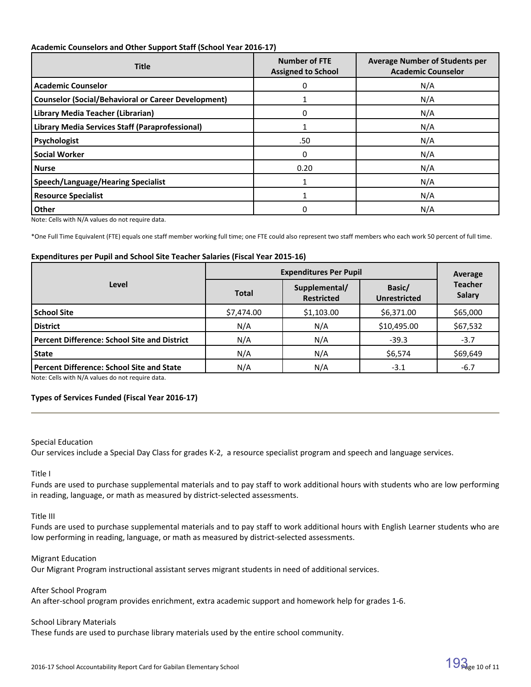#### **Academic Counselors and Other Support Staff (School Year 2016-17)**

| <b>Title</b>                                               | <b>Number of FTE</b><br><b>Assigned to School</b> | <b>Average Number of Students per</b><br><b>Academic Counselor</b> |
|------------------------------------------------------------|---------------------------------------------------|--------------------------------------------------------------------|
| <b>Academic Counselor</b>                                  | 0                                                 | N/A                                                                |
| <b>Counselor (Social/Behavioral or Career Development)</b> |                                                   | N/A                                                                |
| Library Media Teacher (Librarian)                          | 0                                                 | N/A                                                                |
| Library Media Services Staff (Paraprofessional)            |                                                   | N/A                                                                |
| <b>Psychologist</b>                                        | .50                                               | N/A                                                                |
| <b>Social Worker</b>                                       | 0                                                 | N/A                                                                |
| <b>Nurse</b>                                               | 0.20                                              | N/A                                                                |
| <b>Speech/Language/Hearing Specialist</b>                  |                                                   | N/A                                                                |
| <b>Resource Specialist</b>                                 |                                                   | N/A                                                                |
| Other                                                      | O                                                 | N/A                                                                |

Note: Cells with N/A values do not require data.

\*One Full Time Equivalent (FTE) equals one staff member working full time; one FTE could also represent two staff members who each work 50 percent of full time.

#### **Expenditures per Pupil and School Site Teacher Salaries (Fiscal Year 2015-16)**

|                                                     | <b>Expenditures Per Pupil</b> | Average                            |                               |                                 |
|-----------------------------------------------------|-------------------------------|------------------------------------|-------------------------------|---------------------------------|
| Level                                               | <b>Total</b>                  | Supplemental/<br><b>Restricted</b> | Basic/<br><b>Unrestricted</b> | <b>Teacher</b><br><b>Salary</b> |
| <b>School Site</b>                                  | \$7,474.00                    | \$1,103.00                         | \$6,371.00                    | \$65,000                        |
| <b>District</b>                                     | N/A                           | N/A                                | \$10,495.00                   | \$67,532                        |
| <b>Percent Difference: School Site and District</b> | N/A                           | N/A                                | $-39.3$                       | $-3.7$                          |
| <b>State</b>                                        | N/A                           | N/A                                | \$6,574                       | \$69,649                        |
| <b>Percent Difference: School Site and State</b>    | N/A                           | N/A                                | $-3.1$                        | $-6.7$                          |

Note: Cells with N/A values do not require data.

#### **Types of Services Funded (Fiscal Year 2016-17)**

#### Special Education

Our services include a Special Day Class for grades K-2, a resource specialist program and speech and language services.

Title I

Funds are used to purchase supplemental materials and to pay staff to work additional hours with students who are low performing in reading, language, or math as measured by district-selected assessments.

Title III

Funds are used to purchase supplemental materials and to pay staff to work additional hours with English Learner students who are low performing in reading, language, or math as measured by district-selected assessments.

#### Migrant Education

Our Migrant Program instructional assistant serves migrant students in need of additional services.

After School Program

An after-school program provides enrichment, extra academic support and homework help for grades 1-6.

#### School Library Materials

These funds are used to purchase library materials used by the entire school community.